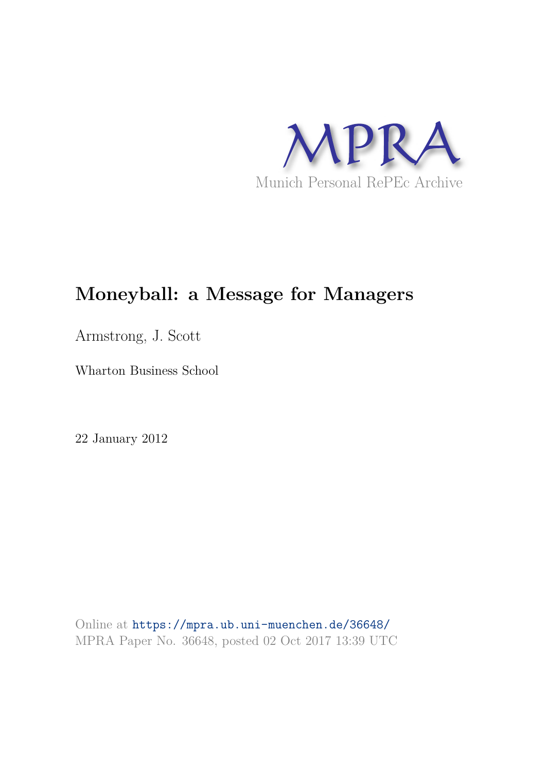

## **Moneyball: a Message for Managers**

Armstrong, J. Scott

Wharton Business School

22 January 2012

Online at https://mpra.ub.uni-muenchen.de/36648/ MPRA Paper No. 36648, posted 02 Oct 2017 13:39 UTC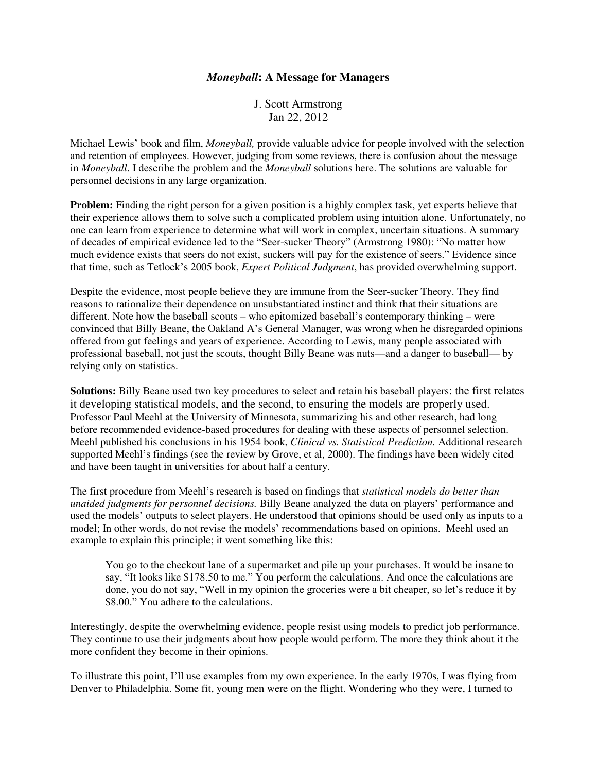## *Moneyball***: A Message for Managers**

J. Scott Armstrong Jan 22, 2012

Michael Lewis' book and film, *Moneyball,* provide valuable advice for people involved with the selection and retention of employees. However, judging from some reviews, there is confusion about the message in *Moneyball*. I describe the problem and the *Moneyball* solutions here. The solutions are valuable for personnel decisions in any large organization.

**Problem:** Finding the right person for a given position is a highly complex task, yet experts believe that their experience allows them to solve such a complicated problem using intuition alone. Unfortunately, no one can learn from experience to determine what will work in complex, uncertain situations. A summary of decades of empirical evidence led to the "Seer-sucker Theory" (Armstrong 1980): "No matter how much evidence exists that seers do not exist, suckers will pay for the existence of seers." Evidence since that time, such as Tetlock's 2005 book, *Expert Political Judgment*, has provided overwhelming support.

Despite the evidence, most people believe they are immune from the Seer-sucker Theory. They find reasons to rationalize their dependence on unsubstantiated instinct and think that their situations are different. Note how the baseball scouts – who epitomized baseball's contemporary thinking – were convinced that Billy Beane, the Oakland A's General Manager, was wrong when he disregarded opinions offered from gut feelings and years of experience. According to Lewis, many people associated with professional baseball, not just the scouts, thought Billy Beane was nuts—and a danger to baseball— by relying only on statistics.

**Solutions:** Billy Beane used two key procedures to select and retain his baseball players: the first relates it developing statistical models, and the second, to ensuring the models are properly used. Professor Paul Meehl at the University of Minnesota, summarizing his and other research, had long before recommended evidence-based procedures for dealing with these aspects of personnel selection. Meehl published his conclusions in his 1954 book, *Clinical vs. Statistical Prediction.* Additional research supported Meehl's findings (see the review by Grove, et al, 2000). The findings have been widely cited and have been taught in universities for about half a century.

The first procedure from Meehl's research is based on findings that *statistical models do better than unaided judgments for personnel decisions.* Billy Beane analyzed the data on players' performance and used the models' outputs to select players. He understood that opinions should be used only as inputs to a model; In other words, do not revise the models' recommendations based on opinions. Meehl used an example to explain this principle; it went something like this:

You go to the checkout lane of a supermarket and pile up your purchases. It would be insane to say, "It looks like \$178.50 to me." You perform the calculations. And once the calculations are done, you do not say, "Well in my opinion the groceries were a bit cheaper, so let's reduce it by \$8.00." You adhere to the calculations.

Interestingly, despite the overwhelming evidence, people resist using models to predict job performance. They continue to use their judgments about how people would perform. The more they think about it the more confident they become in their opinions.

To illustrate this point, I'll use examples from my own experience. In the early 1970s, I was flying from Denver to Philadelphia. Some fit, young men were on the flight. Wondering who they were, I turned to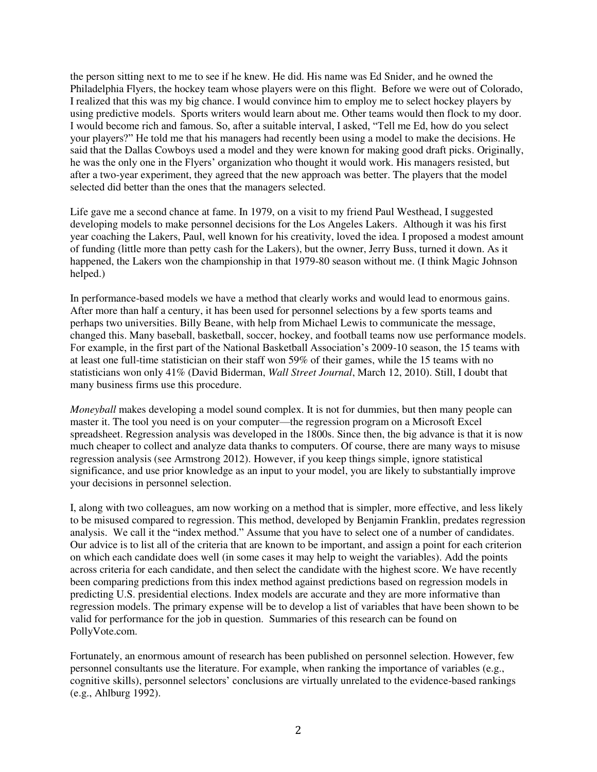the person sitting next to me to see if he knew. He did. His name was Ed Snider, and he owned the Philadelphia Flyers, the hockey team whose players were on this flight. Before we were out of Colorado, I realized that this was my big chance. I would convince him to employ me to select hockey players by using predictive models. Sports writers would learn about me. Other teams would then flock to my door. I would become rich and famous. So, after a suitable interval, I asked, "Tell me Ed, how do you select your players?" He told me that his managers had recently been using a model to make the decisions. He said that the Dallas Cowboys used a model and they were known for making good draft picks. Originally, he was the only one in the Flyers' organization who thought it would work. His managers resisted, but after a two-year experiment, they agreed that the new approach was better. The players that the model selected did better than the ones that the managers selected.

Life gave me a second chance at fame. In 1979, on a visit to my friend Paul Westhead, I suggested developing models to make personnel decisions for the Los Angeles Lakers. Although it was his first year coaching the Lakers, Paul, well known for his creativity, loved the idea. I proposed a modest amount of funding (little more than petty cash for the Lakers), but the owner, Jerry Buss, turned it down. As it happened, the Lakers won the championship in that 1979-80 season without me. (I think Magic Johnson helped.)

In performance-based models we have a method that clearly works and would lead to enormous gains. After more than half a century, it has been used for personnel selections by a few sports teams and perhaps two universities. Billy Beane, with help from Michael Lewis to communicate the message, changed this. Many baseball, basketball, soccer, hockey, and football teams now use performance models. For example, in the first part of the National Basketball Association's 2009-10 season, the 15 teams with at least one full-time statistician on their staff won 59% of their games, while the 15 teams with no statisticians won only 41% (David Biderman, *Wall Street Journal*, March 12, 2010). Still, I doubt that many business firms use this procedure.

*Moneyball* makes developing a model sound complex. It is not for dummies, but then many people can master it. The tool you need is on your computer—the regression program on a Microsoft Excel spreadsheet. Regression analysis was developed in the 1800s. Since then, the big advance is that it is now much cheaper to collect and analyze data thanks to computers. Of course, there are many ways to misuse regression analysis (see Armstrong 2012). However, if you keep things simple, ignore statistical significance, and use prior knowledge as an input to your model, you are likely to substantially improve your decisions in personnel selection.

I, along with two colleagues, am now working on a method that is simpler, more effective, and less likely to be misused compared to regression. This method, developed by Benjamin Franklin, predates regression analysis. We call it the "index method." Assume that you have to select one of a number of candidates. Our advice is to list all of the criteria that are known to be important, and assign a point for each criterion on which each candidate does well (in some cases it may help to weight the variables). Add the points across criteria for each candidate, and then select the candidate with the highest score. We have recently been comparing predictions from this index method against predictions based on regression models in predicting U.S. presidential elections. Index models are accurate and they are more informative than regression models. The primary expense will be to develop a list of variables that have been shown to be valid for performance for the job in question. Summaries of this research can be found on PollyVote.com.

Fortunately, an enormous amount of research has been published on personnel selection. However, few personnel consultants use the literature. For example, when ranking the importance of variables (e.g., cognitive skills), personnel selectors' conclusions are virtually unrelated to the evidence-based rankings (e.g., Ahlburg 1992).